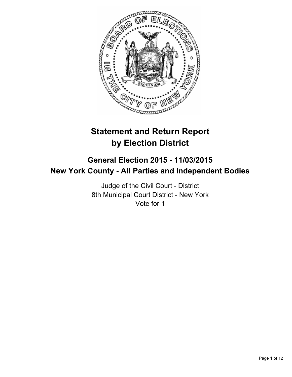

# **Statement and Return Report by Election District**

## **General Election 2015 - 11/03/2015 New York County - All Parties and Independent Bodies**

Judge of the Civil Court - District 8th Municipal Court District - New York Vote for 1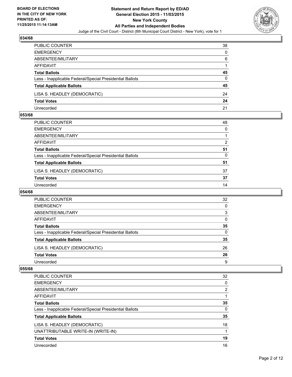

| PUBLIC COUNTER                                           | 38       |
|----------------------------------------------------------|----------|
| <b>EMERGENCY</b>                                         | $\Omega$ |
| ABSENTEE/MILITARY                                        | 6        |
| AFFIDAVIT                                                |          |
| <b>Total Ballots</b>                                     | 45       |
| Less - Inapplicable Federal/Special Presidential Ballots | $\Omega$ |
| <b>Total Applicable Ballots</b>                          | 45       |
| LISA S. HEADLEY (DEMOCRATIC)                             | 24       |
| <b>Total Votes</b>                                       | 24       |
| Unrecorded                                               | 21       |

#### **053/68**

| PUBLIC COUNTER                                           | 48           |
|----------------------------------------------------------|--------------|
| EMERGENCY                                                | $\mathbf{0}$ |
| ABSENTEE/MILITARY                                        |              |
| AFFIDAVIT                                                | 2            |
| Total Ballots                                            | 51           |
| Less - Inapplicable Federal/Special Presidential Ballots | $\Omega$     |
| <b>Total Applicable Ballots</b>                          | 51           |
| LISA S. HEADLEY (DEMOCRATIC)                             | 37           |
| Total Votes                                              | 37           |
| Unrecorded                                               | 14           |
|                                                          |              |

#### **054/68**

| PUBLIC COUNTER                                           | 32       |
|----------------------------------------------------------|----------|
| <b>EMERGENCY</b>                                         | 0        |
| ABSENTEE/MILITARY                                        | 3        |
| <b>AFFIDAVIT</b>                                         | 0        |
| <b>Total Ballots</b>                                     | 35       |
| Less - Inapplicable Federal/Special Presidential Ballots | $\Omega$ |
| <b>Total Applicable Ballots</b>                          | 35       |
| LISA S. HEADLEY (DEMOCRATIC)                             | 26       |
| <b>Total Votes</b>                                       | 26       |
| Unrecorded                                               | 9        |
|                                                          |          |

| <b>PUBLIC COUNTER</b>                                    | 32 |
|----------------------------------------------------------|----|
| <b>EMERGENCY</b>                                         | 0  |
| ABSENTEE/MILITARY                                        | 2  |
| AFFIDAVIT                                                |    |
| <b>Total Ballots</b>                                     | 35 |
| Less - Inapplicable Federal/Special Presidential Ballots | 0  |
| <b>Total Applicable Ballots</b>                          | 35 |
| LISA S. HEADLEY (DEMOCRATIC)                             | 18 |
| UNATTRIBUTABLE WRITE-IN (WRITE-IN)                       | 1  |
| <b>Total Votes</b>                                       | 19 |
| Unrecorded                                               | 16 |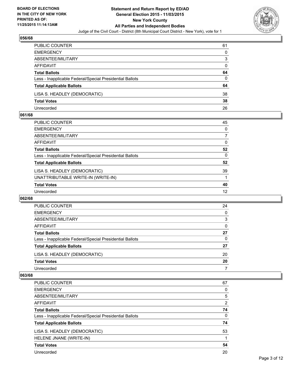

| PUBLIC COUNTER                                           | 61       |
|----------------------------------------------------------|----------|
| <b>EMERGENCY</b>                                         | $\Omega$ |
| ABSENTEE/MILITARY                                        | 3        |
| AFFIDAVIT                                                | $\Omega$ |
| <b>Total Ballots</b>                                     | 64       |
| Less - Inapplicable Federal/Special Presidential Ballots | $\Omega$ |
| <b>Total Applicable Ballots</b>                          | 64       |
| LISA S. HEADLEY (DEMOCRATIC)                             | 38       |
| <b>Total Votes</b>                                       | 38       |
| Unrecorded                                               | 26       |

#### **061/68**

| PUBLIC COUNTER                                           | 45       |
|----------------------------------------------------------|----------|
| <b>EMERGENCY</b>                                         | 0        |
| ABSENTEE/MILITARY                                        | 7        |
| <b>AFFIDAVIT</b>                                         | 0        |
| <b>Total Ballots</b>                                     | 52       |
| Less - Inapplicable Federal/Special Presidential Ballots | $\Omega$ |
| <b>Total Applicable Ballots</b>                          | 52       |
| LISA S. HEADLEY (DEMOCRATIC)                             | 39       |
| UNATTRIBUTABLE WRITE-IN (WRITE-IN)                       |          |
| <b>Total Votes</b>                                       | 40       |
| Unrecorded                                               | 12       |
|                                                          |          |

#### **062/68**

| <b>PUBLIC COUNTER</b>                                    | 24 |
|----------------------------------------------------------|----|
| <b>EMERGENCY</b>                                         | 0  |
| ABSENTEE/MILITARY                                        | 3  |
| AFFIDAVIT                                                | 0  |
| <b>Total Ballots</b>                                     | 27 |
| Less - Inapplicable Federal/Special Presidential Ballots | 0  |
| <b>Total Applicable Ballots</b>                          | 27 |
| LISA S. HEADLEY (DEMOCRATIC)                             | 20 |
| <b>Total Votes</b>                                       | 20 |
| Unrecorded                                               |    |

| <b>PUBLIC COUNTER</b>                                    | 67             |
|----------------------------------------------------------|----------------|
| <b>EMERGENCY</b>                                         | 0              |
| ABSENTEE/MILITARY                                        | 5              |
| <b>AFFIDAVIT</b>                                         | $\overline{2}$ |
| <b>Total Ballots</b>                                     | 74             |
| Less - Inapplicable Federal/Special Presidential Ballots | 0              |
| <b>Total Applicable Ballots</b>                          | 74             |
| LISA S. HEADLEY (DEMOCRATIC)                             | 53             |
| HELENE JNANE (WRITE-IN)                                  |                |
| <b>Total Votes</b>                                       | 54             |
| Unrecorded                                               | 20             |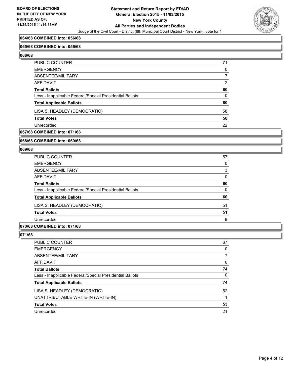

#### **064/68 COMBINED into: 056/68**

#### **065/68 COMBINED into: 056/68**

**066/68** 

| PUBLIC COUNTER                                           | 71           |
|----------------------------------------------------------|--------------|
| EMERGENCY                                                | 0            |
| ABSENTEE/MILITARY                                        | 7            |
| AFFIDAVIT                                                | 2            |
| Total Ballots                                            | 80           |
| Less - Inapplicable Federal/Special Presidential Ballots | $\mathbf{0}$ |
| <b>Total Applicable Ballots</b>                          | 80           |
| LISA S. HEADLEY (DEMOCRATIC)                             | 58           |
| <b>Total Votes</b>                                       | 58           |
| Unrecorded                                               | 22           |

#### **067/68 COMBINED into: 071/68**

#### **068/68 COMBINED into: 069/68**

#### **069/68**

| <b>PUBLIC COUNTER</b>                                    | 57 |
|----------------------------------------------------------|----|
| <b>EMERGENCY</b>                                         | 0  |
| ABSENTEE/MILITARY                                        | 3  |
| <b>AFFIDAVIT</b>                                         | 0  |
| <b>Total Ballots</b>                                     | 60 |
| Less - Inapplicable Federal/Special Presidential Ballots | 0  |
| <b>Total Applicable Ballots</b>                          | 60 |
| LISA S. HEADLEY (DEMOCRATIC)                             | 51 |
| <b>Total Votes</b>                                       | 51 |
| Unrecorded                                               | 9  |
|                                                          |    |

#### **070/68 COMBINED into: 071/68**

| <b>PUBLIC COUNTER</b>                                    | 67 |
|----------------------------------------------------------|----|
| <b>EMERGENCY</b>                                         | 0  |
| ABSENTEE/MILITARY                                        |    |
| <b>AFFIDAVIT</b>                                         | 0  |
| <b>Total Ballots</b>                                     | 74 |
| Less - Inapplicable Federal/Special Presidential Ballots | 0  |
| <b>Total Applicable Ballots</b>                          | 74 |
| LISA S. HEADLEY (DEMOCRATIC)                             | 52 |
| UNATTRIBUTABLE WRITE-IN (WRITE-IN)                       |    |
| <b>Total Votes</b>                                       | 53 |
| Unrecorded                                               | 21 |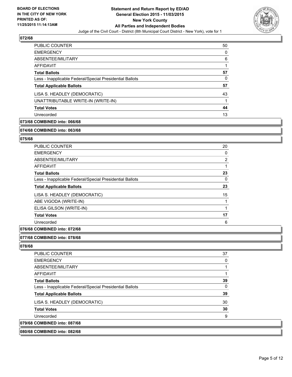

| PUBLIC COUNTER                                           | 50 |
|----------------------------------------------------------|----|
| <b>EMERGENCY</b>                                         | 0  |
| ABSENTEE/MILITARY                                        | 6  |
| AFFIDAVIT                                                |    |
| <b>Total Ballots</b>                                     | 57 |
| Less - Inapplicable Federal/Special Presidential Ballots | 0  |
| <b>Total Applicable Ballots</b>                          | 57 |
| LISA S. HEADLEY (DEMOCRATIC)                             | 43 |
| UNATTRIBUTABLE WRITE-IN (WRITE-IN)                       |    |
| <b>Total Votes</b>                                       | 44 |
| Unrecorded                                               | 13 |

### **073/68 COMBINED into: 066/68**

#### **074/68 COMBINED into: 063/68**

#### **075/68**

| <b>PUBLIC COUNTER</b>                                    | 20             |
|----------------------------------------------------------|----------------|
| <b>EMERGENCY</b>                                         | 0              |
| ABSENTEE/MILITARY                                        | $\overline{2}$ |
| <b>AFFIDAVIT</b>                                         |                |
| <b>Total Ballots</b>                                     | 23             |
| Less - Inapplicable Federal/Special Presidential Ballots | 0              |
| <b>Total Applicable Ballots</b>                          | 23             |
| LISA S. HEADLEY (DEMOCRATIC)                             | 15             |
| ABE VIGODA (WRITE-IN)                                    |                |
| ELISA GILSON (WRITE-IN)                                  |                |
| <b>Total Votes</b>                                       | 17             |
| Unrecorded                                               | 6              |

#### **076/68 COMBINED into: 072/68**

#### **077/68 COMBINED into: 078/68**

| 080/68 COMBINED into: 082/68                             |    |
|----------------------------------------------------------|----|
| 079/68 COMBINED into: 087/68                             |    |
| Unrecorded                                               | 9  |
| <b>Total Votes</b>                                       | 30 |
| LISA S. HEADLEY (DEMOCRATIC)                             | 30 |
| <b>Total Applicable Ballots</b>                          | 39 |
| Less - Inapplicable Federal/Special Presidential Ballots | 0  |
| <b>Total Ballots</b>                                     | 39 |
| AFFIDAVIT                                                |    |
| ABSENTEE/MILITARY                                        |    |
| <b>EMERGENCY</b>                                         | 0  |
| <b>PUBLIC COUNTER</b>                                    | 37 |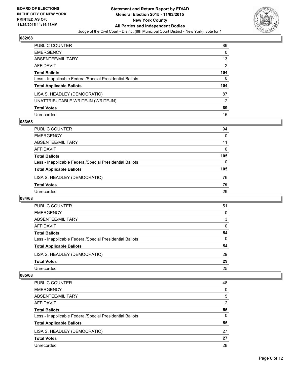

| PUBLIC COUNTER                                           | 89  |
|----------------------------------------------------------|-----|
| <b>EMERGENCY</b>                                         | 0   |
| <b>ABSENTEE/MILITARY</b>                                 | 13  |
| AFFIDAVIT                                                | 2   |
| <b>Total Ballots</b>                                     | 104 |
| Less - Inapplicable Federal/Special Presidential Ballots | 0   |
| <b>Total Applicable Ballots</b>                          | 104 |
| LISA S. HEADLEY (DEMOCRATIC)                             | 87  |
| UNATTRIBUTABLE WRITE-IN (WRITE-IN)                       | 2   |
| <b>Total Votes</b>                                       | 89  |
| Unrecorded                                               | 15  |

#### **083/68**

| PUBLIC COUNTER                                           | 94       |
|----------------------------------------------------------|----------|
| <b>EMERGENCY</b>                                         | 0        |
| ABSENTEE/MILITARY                                        | 11       |
| AFFIDAVIT                                                | 0        |
| <b>Total Ballots</b>                                     | 105      |
| Less - Inapplicable Federal/Special Presidential Ballots | $\Omega$ |
| <b>Total Applicable Ballots</b>                          | 105      |
| LISA S. HEADLEY (DEMOCRATIC)                             | 76       |
| <b>Total Votes</b>                                       | 76       |
| Unrecorded                                               | 29       |
|                                                          |          |

#### **084/68**

| PUBLIC COUNTER                                           | 51 |
|----------------------------------------------------------|----|
| <b>EMERGENCY</b>                                         | 0  |
| ABSENTEE/MILITARY                                        | 3  |
| AFFIDAVIT                                                | 0  |
| <b>Total Ballots</b>                                     | 54 |
| Less - Inapplicable Federal/Special Presidential Ballots | 0  |
| <b>Total Applicable Ballots</b>                          | 54 |
| LISA S. HEADLEY (DEMOCRATIC)                             | 29 |
| <b>Total Votes</b>                                       | 29 |
| Unrecorded                                               | 25 |

| <b>PUBLIC COUNTER</b>                                    | 48 |
|----------------------------------------------------------|----|
| <b>EMERGENCY</b>                                         | 0  |
| ABSENTEE/MILITARY                                        | 5  |
| AFFIDAVIT                                                | 2  |
| <b>Total Ballots</b>                                     | 55 |
| Less - Inapplicable Federal/Special Presidential Ballots | 0  |
| <b>Total Applicable Ballots</b>                          | 55 |
| LISA S. HEADLEY (DEMOCRATIC)                             | 27 |
| <b>Total Votes</b>                                       | 27 |
| Unrecorded                                               | 28 |
|                                                          |    |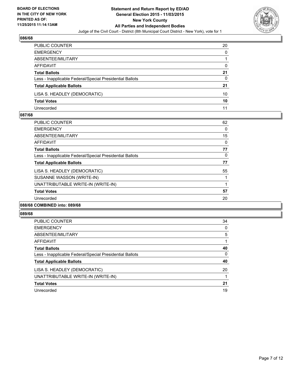

| PUBLIC COUNTER                                           | 20           |
|----------------------------------------------------------|--------------|
| <b>EMERGENCY</b>                                         | $\mathbf{0}$ |
| ABSENTEE/MILITARY                                        |              |
| AFFIDAVIT                                                | 0            |
| <b>Total Ballots</b>                                     | 21           |
| Less - Inapplicable Federal/Special Presidential Ballots | 0            |
| <b>Total Applicable Ballots</b>                          | 21           |
| LISA S. HEADLEY (DEMOCRATIC)                             | 10           |
| <b>Total Votes</b>                                       | 10           |
| Unrecorded                                               | 11           |

#### **087/68**

| <b>PUBLIC COUNTER</b>                                    | 62 |
|----------------------------------------------------------|----|
| <b>EMERGENCY</b>                                         | 0  |
| ABSENTEE/MILITARY                                        | 15 |
| AFFIDAVIT                                                | 0  |
| <b>Total Ballots</b>                                     | 77 |
| Less - Inapplicable Federal/Special Presidential Ballots | 0  |
| <b>Total Applicable Ballots</b>                          | 77 |
| LISA S. HEADLEY (DEMOCRATIC)                             | 55 |
| SUSANNE WASSON (WRITE-IN)                                |    |
| UNATTRIBUTABLE WRITE-IN (WRITE-IN)                       |    |
| <b>Total Votes</b>                                       | 57 |
| Unrecorded                                               | 20 |
| 0.01101100000100                                         |    |

## $|089/$

| 089/68                                                   |    |
|----------------------------------------------------------|----|
| PUBLIC COUNTER                                           | 34 |
| <b>EMERGENCY</b>                                         | 0  |
| ABSENTEE/MILITARY                                        | 5  |
| AFFIDAVIT                                                |    |
| <b>Total Ballots</b>                                     | 40 |
| Less - Inapplicable Federal/Special Presidential Ballots | 0  |
| <b>Total Applicable Ballots</b>                          | 40 |
| LISA S. HEADLEY (DEMOCRATIC)                             | 20 |
| UNATTRIBUTABLE WRITE-IN (WRITE-IN)                       |    |
| <b>Total Votes</b>                                       | 21 |
| Unrecorded                                               | 19 |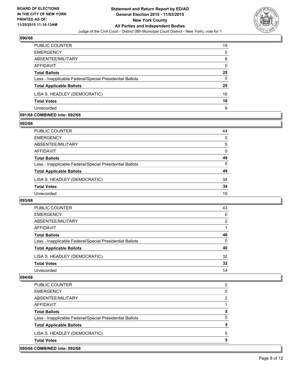

| PUBLIC COUNTER                                           | 19 |
|----------------------------------------------------------|----|
| <b>EMERGENCY</b>                                         | 0  |
| ABSENTEE/MILITARY                                        | 6  |
| AFFIDAVIT                                                | 0  |
| <b>Total Ballots</b>                                     | 25 |
| Less - Inapplicable Federal/Special Presidential Ballots | 0  |
| <b>Total Applicable Ballots</b>                          | 25 |
| LISA S. HEADLEY (DEMOCRATIC)                             | 16 |
| <b>Total Votes</b>                                       | 16 |
| Unrecorded                                               | 9  |

#### **091/68 COMBINED into: 092/68**

**092/68** 

| PUBLIC COUNTER                                           | 44 |
|----------------------------------------------------------|----|
| <b>EMERGENCY</b>                                         | 0  |
| ABSENTEE/MILITARY                                        | 5  |
| <b>AFFIDAVIT</b>                                         | 0  |
| <b>Total Ballots</b>                                     | 49 |
| Less - Inapplicable Federal/Special Presidential Ballots | 0  |
| <b>Total Applicable Ballots</b>                          | 49 |
| LISA S. HEADLEY (DEMOCRATIC)                             | 34 |
| <b>Total Votes</b>                                       | 34 |
| Unrecorded                                               | 15 |
|                                                          |    |

#### **093/68**

| PUBLIC COUNTER                                           | 43 |
|----------------------------------------------------------|----|
| <b>EMERGENCY</b>                                         | 0  |
| ABSENTEE/MILITARY                                        | 2  |
| AFFIDAVIT                                                |    |
| <b>Total Ballots</b>                                     | 46 |
| Less - Inapplicable Federal/Special Presidential Ballots | 0  |
| <b>Total Applicable Ballots</b>                          | 46 |
| LISA S. HEADLEY (DEMOCRATIC)                             | 32 |
| <b>Total Votes</b>                                       | 32 |
| Unrecorded                                               | 14 |

| 095/68 COMBINED into: 092/68                             |   |
|----------------------------------------------------------|---|
| <b>Total Votes</b>                                       | 5 |
| LISA S. HEADLEY (DEMOCRATIC)                             | 5 |
| <b>Total Applicable Ballots</b>                          | 5 |
| Less - Inapplicable Federal/Special Presidential Ballots | 0 |
| <b>Total Ballots</b>                                     | 5 |
| AFFIDAVIT                                                |   |
| ABSENTEE/MILITARY                                        | 2 |
| <b>EMERGENCY</b>                                         | 0 |
| <b>PUBLIC COUNTER</b>                                    | 2 |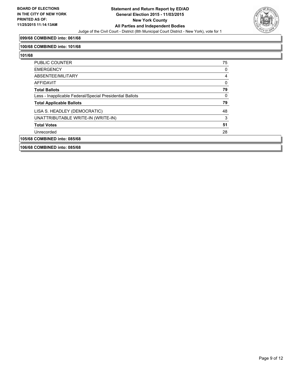

#### **099/68 COMBINED into: 061/68**

#### **100/68 COMBINED into: 101/68**

| <b>PUBLIC COUNTER</b>                                    | 75 |
|----------------------------------------------------------|----|
| <b>EMERGENCY</b>                                         | 0  |
| ABSENTEE/MILITARY                                        | 4  |
| AFFIDAVIT                                                | 0  |
| <b>Total Ballots</b>                                     | 79 |
| Less - Inapplicable Federal/Special Presidential Ballots | 0  |
| <b>Total Applicable Ballots</b>                          | 79 |
| LISA S. HEADLEY (DEMOCRATIC)                             | 48 |
| UNATTRIBUTABLE WRITE-IN (WRITE-IN)                       | 3  |
| <b>Total Votes</b>                                       | 51 |
| Unrecorded                                               | 28 |
| 105/68 COMBINED into: 085/68                             |    |
| 106/68 COMBINED into: 085/68                             |    |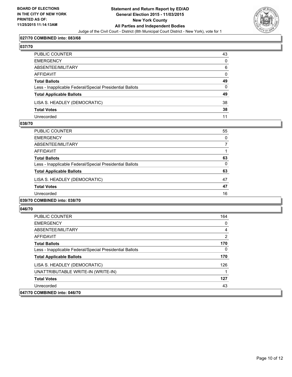

#### **027/70 COMBINED into: 083/68**

### **037/70**

| PUBLIC COUNTER                                           | 43           |
|----------------------------------------------------------|--------------|
| EMERGENCY                                                | 0            |
| ABSENTEE/MILITARY                                        | 6            |
| AFFIDAVIT                                                | $\mathbf{0}$ |
| Total Ballots                                            | 49           |
| Less - Inapplicable Federal/Special Presidential Ballots | $\mathbf{0}$ |
| <b>Total Applicable Ballots</b>                          | 49           |
| LISA S. HEADLEY (DEMOCRATIC)                             | 38           |
| Total Votes                                              | 38           |
| Unrecorded                                               | 11           |

#### **038/70**

| <b>PUBLIC COUNTER</b>                                    | 55       |
|----------------------------------------------------------|----------|
| <b>EMERGENCY</b>                                         | $\Omega$ |
| ABSENTEE/MILITARY                                        |          |
| <b>AFFIDAVIT</b>                                         |          |
| <b>Total Ballots</b>                                     | 63       |
| Less - Inapplicable Federal/Special Presidential Ballots | 0        |
| <b>Total Applicable Ballots</b>                          | 63       |
| LISA S. HEADLEY (DEMOCRATIC)                             | 47       |
| <b>Total Votes</b>                                       | 47       |
| Unrecorded                                               | 16       |
| 039/70 COMBINED into: 038/70                             |          |

| <b>PUBLIC COUNTER</b>                                    | 164 |
|----------------------------------------------------------|-----|
| <b>EMERGENCY</b>                                         | 0   |
| ABSENTEE/MILITARY                                        | 4   |
| AFFIDAVIT                                                | 2   |
| <b>Total Ballots</b>                                     | 170 |
| Less - Inapplicable Federal/Special Presidential Ballots | 0   |
| <b>Total Applicable Ballots</b>                          | 170 |
| LISA S. HEADLEY (DEMOCRATIC)                             | 126 |
| UNATTRIBUTABLE WRITE-IN (WRITE-IN)                       |     |
| <b>Total Votes</b>                                       | 127 |
| Unrecorded                                               | 43  |
| 047/70 COMBINED into: 046/70                             |     |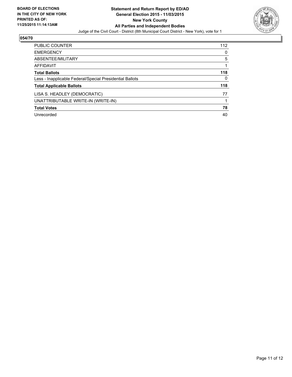

| <b>PUBLIC COUNTER</b>                                    | 112 |
|----------------------------------------------------------|-----|
| <b>EMERGENCY</b>                                         | 0   |
| ABSENTEE/MILITARY                                        | 5   |
| AFFIDAVIT                                                |     |
| <b>Total Ballots</b>                                     | 118 |
| Less - Inapplicable Federal/Special Presidential Ballots | 0   |
| <b>Total Applicable Ballots</b>                          | 118 |
| LISA S. HEADLEY (DEMOCRATIC)                             | 77  |
| UNATTRIBUTABLE WRITE-IN (WRITE-IN)                       |     |
| <b>Total Votes</b>                                       | 78  |
| Unrecorded                                               | 40  |